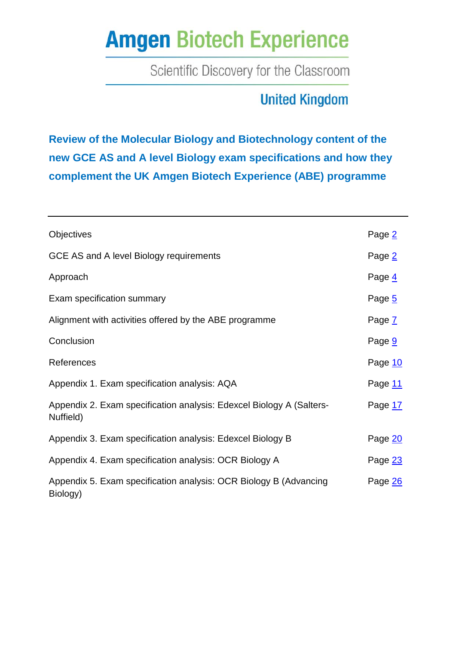Scientific Discovery for the Classroom

## **United Kingdom**

**Review of the Molecular Biology and Biotechnology content of the new GCE AS and A level Biology exam specifications and how they complement the UK Amgen Biotech Experience (ABE) programme**

| <b>Objectives</b>                                                                 | Page 2  |
|-----------------------------------------------------------------------------------|---------|
| GCE AS and A level Biology requirements                                           | Page 2  |
| Approach                                                                          | Page 4  |
| Exam specification summary                                                        | Page 5  |
| Alignment with activities offered by the ABE programme                            | Page 7  |
| Conclusion                                                                        | Page 9  |
| References                                                                        | Page 10 |
| Appendix 1. Exam specification analysis: AQA                                      | Page 11 |
| Appendix 2. Exam specification analysis: Edexcel Biology A (Salters-<br>Nuffield) | Page 17 |
| Appendix 3. Exam specification analysis: Edexcel Biology B                        | Page 20 |
| Appendix 4. Exam specification analysis: OCR Biology A                            | Page 23 |
| Appendix 5. Exam specification analysis: OCR Biology B (Advancing<br>Biology)     | Page 26 |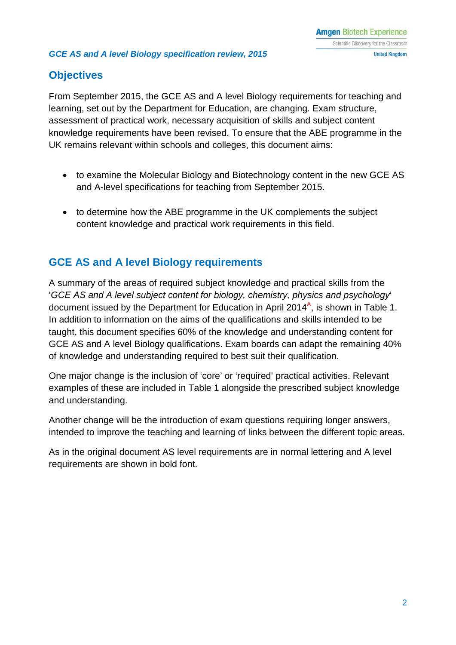### <span id="page-1-0"></span>**Objectives**

From September 2015, the GCE AS and A level Biology requirements for teaching and learning, set out by the Department for Education, are changing. Exam structure, assessment of practical work, necessary acquisition of skills and subject content knowledge requirements have been revised. To ensure that the ABE programme in the UK remains relevant within schools and colleges, this document aims:

- to examine the Molecular Biology and Biotechnology content in the new GCE AS and A-level specifications for teaching from September 2015.
- to determine how the ABE programme in the UK complements the subject content knowledge and practical work requirements in this field.

### <span id="page-1-1"></span>**GCE AS and A level Biology requirements**

A summary of the areas of required subject knowledge and practical skills from the '*GCE AS and A level subject content for biology, chemistry, physics and psychology*' document issued by the Department for Education in April 2014<sup>A</sup>, is shown in Table 1. In addition to information on the aims of the qualifications and skills intended to be taught, this document specifies 60% of the knowledge and understanding content for GCE AS and A level Biology qualifications. Exam boards can adapt the remaining 40% of knowledge and understanding required to best suit their qualification.

One major change is the inclusion of 'core' or 'required' practical activities. Relevant examples of these are included in Table 1 alongside the prescribed subject knowledge and understanding.

Another change will be the introduction of exam questions requiring longer answers, intended to improve the teaching and learning of links between the different topic areas.

As in the original document AS level requirements are in normal lettering and A level requirements are shown in bold font.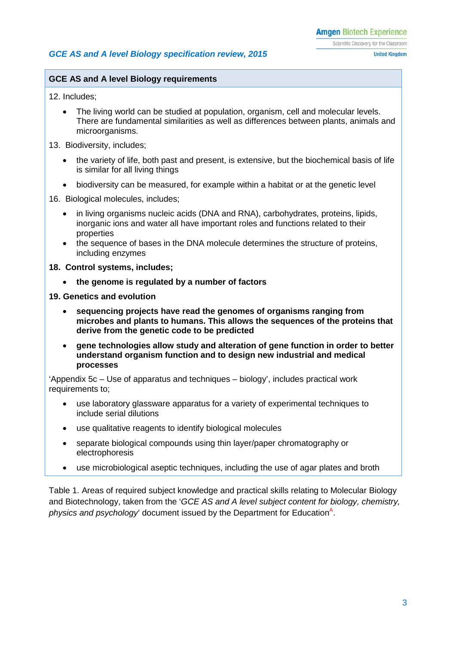#### **GCE AS and A level Biology requirements**

12. Includes;

- The living world can be studied at population, organism, cell and molecular levels. There are fundamental similarities as well as differences between plants, animals and microorganisms.
- 13. Biodiversity, includes;
	- the variety of life, both past and present, is extensive, but the biochemical basis of life is similar for all living things
	- biodiversity can be measured, for example within a habitat or at the genetic level

#### 16. Biological molecules, includes;

- in living organisms nucleic acids (DNA and RNA), carbohydrates, proteins, lipids, inorganic ions and water all have important roles and functions related to their properties
- the sequence of bases in the DNA molecule determines the structure of proteins, including enzymes
- **18. Control systems, includes;**
	- **the genome is regulated by a number of factors**
- **19. Genetics and evolution**
	- **sequencing projects have read the genomes of organisms ranging from microbes and plants to humans. This allows the sequences of the proteins that derive from the genetic code to be predicted**
	- **gene technologies allow study and alteration of gene function in order to better understand organism function and to design new industrial and medical processes**

'Appendix 5c – Use of apparatus and techniques – biology', includes practical work requirements to;

- use laboratory glassware apparatus for a variety of experimental techniques to include serial dilutions
- use qualitative reagents to identify biological molecules
- separate biological compounds using thin layer/paper chromatography or electrophoresis
- use microbiological aseptic techniques, including the use of agar plates and broth

Table 1. Areas of required subject knowledge and practical skills relating to Molecular Biology and Biotechnology, taken from the '*GCE AS and A level subject content for biology, chemistry,*  physics and psychology' document issued by the Department for Education<sup>A</sup>.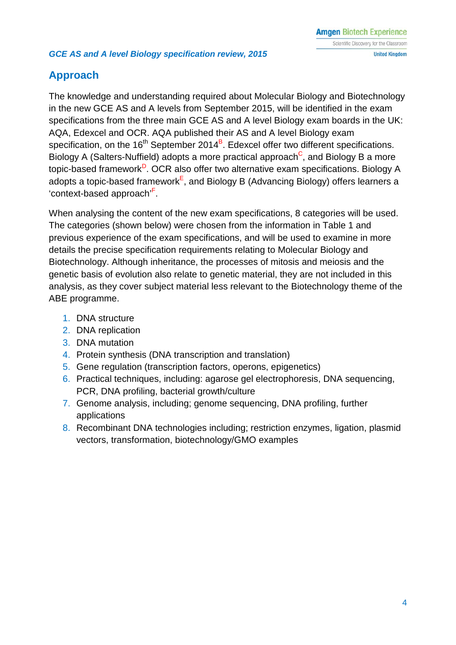### <span id="page-3-0"></span>**Approach**

The knowledge and understanding required about Molecular Biology and Biotechnology in the new GCE AS and A levels from September 2015, will be identified in the exam specifications from the three main GCE AS and A level Biology exam boards in the UK: AQA, Edexcel and OCR. AQA published their AS and A level Biology exam specification, on the 16<sup>th</sup> September 2014<sup>B</sup>. Edexcel offer two different specifications. Biology A (Salters-Nuffield) adopts a more practical approach<sup>C</sup>, and Biology B a more topic-based framework<sup>D</sup>. OCR also offer two alternative exam specifications. Biology A adopts a topic-based framework<sup>E</sup>, and Biology B (Advancing Biology) offers learners a 'context-based approach'F .

When analysing the content of the new exam specifications, 8 categories will be used. The categories (shown below) were chosen from the information in Table 1 and previous experience of the exam specifications, and will be used to examine in more details the precise specification requirements relating to Molecular Biology and Biotechnology. Although inheritance, the processes of mitosis and meiosis and the genetic basis of evolution also relate to genetic material, they are not included in this analysis, as they cover subject material less relevant to the Biotechnology theme of the ABE programme.

- 1. DNA structure
- 2. DNA replication
- 3. DNA mutation
- 4. Protein synthesis (DNA transcription and translation)
- 5. Gene regulation (transcription factors, operons, epigenetics)
- 6. Practical techniques, including: agarose gel electrophoresis, DNA sequencing, PCR, DNA profiling, bacterial growth/culture
- 7. Genome analysis, including; genome sequencing, DNA profiling, further applications
- 8. Recombinant DNA technologies including; restriction enzymes, ligation, plasmid vectors, transformation, biotechnology/GMO examples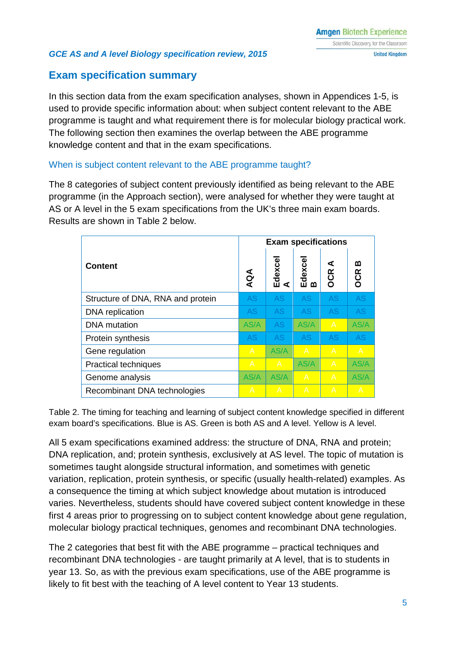### <span id="page-4-0"></span>**Exam specification summary**

In this section data from the exam specification analyses, shown in Appendices 1-5, is used to provide specific information about: when subject content relevant to the ABE programme is taught and what requirement there is for molecular biology practical work. The following section then examines the overlap between the ABE programme knowledge content and that in the exam specifications.

### When is subject content relevant to the ABE programme taught?

The 8 categories of subject content previously identified as being relevant to the ABE programme (in the Approach section), were analysed for whether they were taught at AS or A level in the 5 exam specifications from the UK's three main exam boards. Results are shown in Table 2 below.

| <b>Content</b>                    |           | <b>Exam specifications</b> |                |                 |                 |
|-----------------------------------|-----------|----------------------------|----------------|-----------------|-----------------|
|                                   |           | Edexce<br>⋖                | Edexce<br>മ    | ⋖<br><b>OCR</b> | മ<br><b>OCR</b> |
| Structure of DNA, RNA and protein | <b>AS</b> | AS                         | <b>AS</b>      | AS              | <b>AS</b>       |
| DNA replication                   | <b>AS</b> | AS.                        | AS.            | AS              | <b>AS</b>       |
| <b>DNA</b> mutation               | AS/A      | <b>AS</b>                  | AS/A           | $\overline{A}$  | AS/A            |
| Protein synthesis                 | <b>AS</b> | AS.                        | AS             | AS              | <b>AS</b>       |
| Gene regulation                   |           | AS/A                       | $\overline{A}$ | A               | $\overline{A}$  |
| <b>Practical techniques</b>       |           | $\mathsf{A}$               | AS/A           | A               | AS/A            |
| Genome analysis                   | AS/A      | AS/A                       | $\overline{A}$ | $\overline{A}$  | AS/A            |
| Recombinant DNA technologies      | A         | $\mathsf{A}$               | $\overline{A}$ | $\overline{A}$  | A               |

Table 2. The timing for teaching and learning of subject content knowledge specified in different exam board's specifications. Blue is AS. Green is both AS and A level. Yellow is A level.

All 5 exam specifications examined address: the structure of DNA, RNA and protein; DNA replication, and; protein synthesis, exclusively at AS level. The topic of mutation is sometimes taught alongside structural information, and sometimes with genetic variation, replication, protein synthesis, or specific (usually health-related) examples. As a consequence the timing at which subject knowledge about mutation is introduced varies. Nevertheless, students should have covered subject content knowledge in these first 4 areas prior to progressing on to subject content knowledge about gene regulation, molecular biology practical techniques, genomes and recombinant DNA technologies.

The 2 categories that best fit with the ABE programme – practical techniques and recombinant DNA technologies - are taught primarily at A level, that is to students in year 13. So, as with the previous exam specifications, use of the ABE programme is likely to fit best with the teaching of A level content to Year 13 students.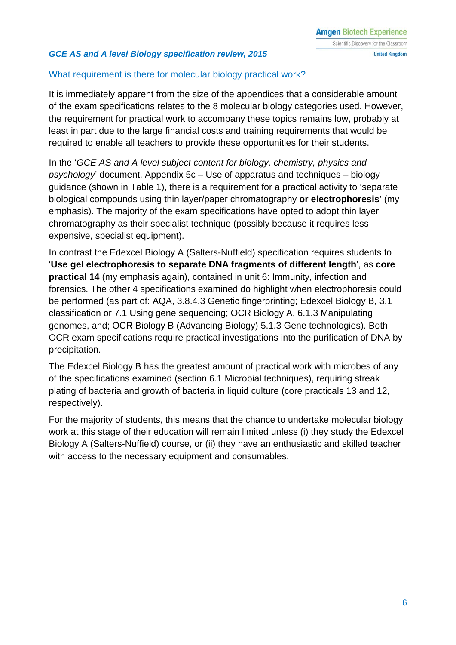### What requirement is there for molecular biology practical work?

It is immediately apparent from the size of the appendices that a considerable amount of the exam specifications relates to the 8 molecular biology categories used. However, the requirement for practical work to accompany these topics remains low, probably at least in part due to the large financial costs and training requirements that would be required to enable all teachers to provide these opportunities for their students.

In the '*GCE AS and A level subject content for biology, chemistry, physics and psychology*' document, Appendix 5c – Use of apparatus and techniques – biology guidance (shown in Table 1), there is a requirement for a practical activity to 'separate biological compounds using thin layer/paper chromatography **or electrophoresis**' (my emphasis). The majority of the exam specifications have opted to adopt thin layer chromatography as their specialist technique (possibly because it requires less expensive, specialist equipment).

In contrast the Edexcel Biology A (Salters-Nuffield) specification requires students to '**Use gel electrophoresis to separate DNA fragments of different length**', as **core practical 14** (my emphasis again), contained in unit 6: Immunity, infection and forensics. The other 4 specifications examined do highlight when electrophoresis could be performed (as part of: AQA, 3.8.4.3 Genetic fingerprinting; Edexcel Biology B, 3.1 classification or 7.1 Using gene sequencing; OCR Biology A, 6.1.3 Manipulating genomes, and; OCR Biology B (Advancing Biology) 5.1.3 Gene technologies). Both OCR exam specifications require practical investigations into the purification of DNA by precipitation.

The Edexcel Biology B has the greatest amount of practical work with microbes of any of the specifications examined (section 6.1 Microbial techniques), requiring streak plating of bacteria and growth of bacteria in liquid culture (core practicals 13 and 12, respectively).

For the majority of students, this means that the chance to undertake molecular biology work at this stage of their education will remain limited unless (i) they study the Edexcel Biology A (Salters-Nuffield) course, or (ii) they have an enthusiastic and skilled teacher with access to the necessary equipment and consumables.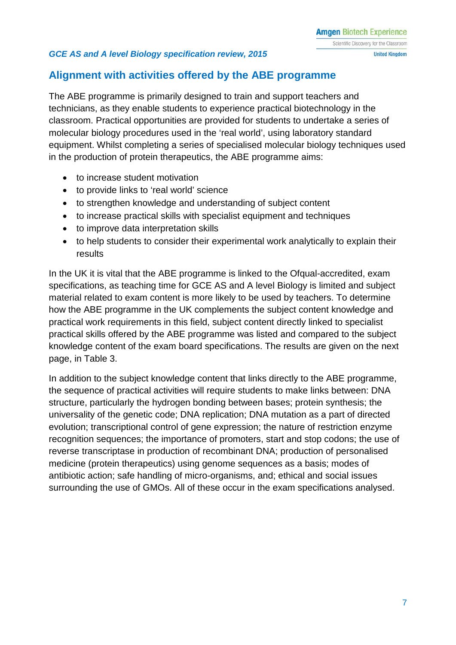### <span id="page-6-0"></span>**Alignment with activities offered by the ABE programme**

The ABE programme is primarily designed to train and support teachers and technicians, as they enable students to experience practical biotechnology in the classroom. Practical opportunities are provided for students to undertake a series of molecular biology procedures used in the 'real world', using laboratory standard equipment. Whilst completing a series of specialised molecular biology techniques used in the production of protein therapeutics, the ABE programme aims:

- to increase student motivation
- to provide links to 'real world' science
- to strengthen knowledge and understanding of subject content
- to increase practical skills with specialist equipment and techniques
- to improve data interpretation skills
- to help students to consider their experimental work analytically to explain their results

In the UK it is vital that the ABE programme is linked to the Ofqual-accredited, exam specifications, as teaching time for GCE AS and A level Biology is limited and subject material related to exam content is more likely to be used by teachers. To determine how the ABE programme in the UK complements the subject content knowledge and practical work requirements in this field, subject content directly linked to specialist practical skills offered by the ABE programme was listed and compared to the subject knowledge content of the exam board specifications. The results are given on the next page, in Table 3.

In addition to the subject knowledge content that links directly to the ABE programme, the sequence of practical activities will require students to make links between: DNA structure, particularly the hydrogen bonding between bases; protein synthesis; the universality of the genetic code; DNA replication; DNA mutation as a part of directed evolution; transcriptional control of gene expression; the nature of restriction enzyme recognition sequences; the importance of promoters, start and stop codons; the use of reverse transcriptase in production of recombinant DNA; production of personalised medicine (protein therapeutics) using genome sequences as a basis; modes of antibiotic action; safe handling of micro-organisms, and; ethical and social issues surrounding the use of GMOs. All of these occur in the exam specifications analysed.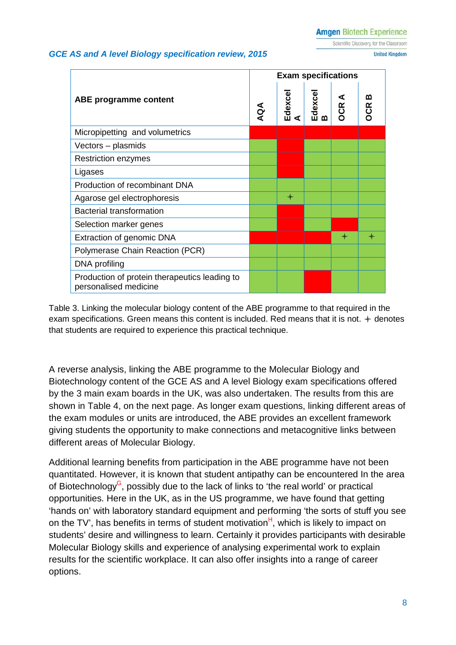Scientific Discovery for the Classroom

**United Kingdom** 

#### *GCE AS and A level Biology specification review, 2015*

|                                                                        |     | <b>Exam specifications</b> |              |                 |                 |
|------------------------------------------------------------------------|-----|----------------------------|--------------|-----------------|-----------------|
| <b>ABE</b> programme content                                           | AQA | Edexce<br>⋖                | Edexcel<br>B | ⋖<br><b>DCR</b> | ന<br><b>OCR</b> |
| Micropipetting and volumetrics                                         |     |                            |              |                 |                 |
| Vectors – plasmids                                                     |     |                            |              |                 |                 |
| <b>Restriction enzymes</b>                                             |     |                            |              |                 |                 |
| Ligases                                                                |     |                            |              |                 |                 |
| Production of recombinant DNA                                          |     |                            |              |                 |                 |
| Agarose gel electrophoresis                                            |     | $\ast$                     |              |                 |                 |
| <b>Bacterial transformation</b>                                        |     |                            |              |                 |                 |
| Selection marker genes                                                 |     |                            |              |                 |                 |
| Extraction of genomic DNA                                              |     |                            |              | $\ast$          |                 |
| Polymerase Chain Reaction (PCR)                                        |     |                            |              |                 |                 |
| DNA profiling                                                          |     |                            |              |                 |                 |
| Production of protein therapeutics leading to<br>personalised medicine |     |                            |              |                 |                 |

Table 3. Linking the molecular biology content of the ABE programme to that required in the exam specifications. Green means this content is included. Red means that it is not.  $+$  denotes that students are required to experience this practical technique.

A reverse analysis, linking the ABE programme to the Molecular Biology and Biotechnology content of the GCE AS and A level Biology exam specifications offered by the 3 main exam boards in the UK, was also undertaken. The results from this are shown in Table 4, on the next page. As longer exam questions, linking different areas of the exam modules or units are introduced, the ABE provides an excellent framework giving students the opportunity to make connections and metacognitive links between different areas of Molecular Biology.

Additional learning benefits from participation in the ABE programme have not been quantitated. However, it is known that student antipathy can be encountered In the area of Biotechnology<sup>G</sup>, possibly due to the lack of links to 'the real world' or practical opportunities. Here in the UK, as in the US programme, we have found that getting 'hands on' with laboratory standard equipment and performing 'the sorts of stuff you see on the TV', has benefits in terms of student motivation $H$ , which is likely to impact on students' desire and willingness to learn. Certainly it provides participants with desirable Molecular Biology skills and experience of analysing experimental work to explain results for the scientific workplace. It can also offer insights into a range of career options.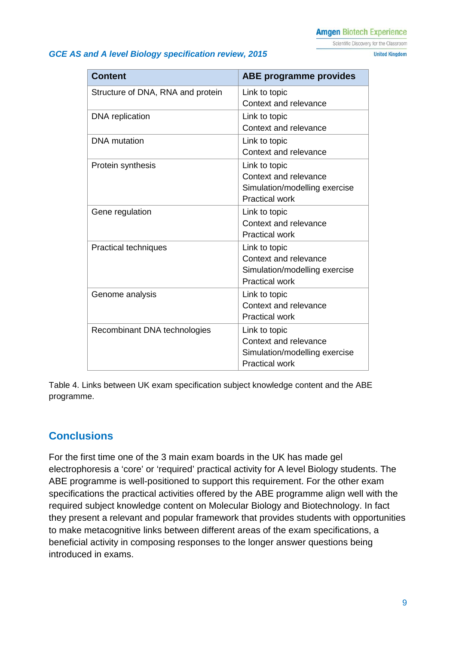Scientific Discovery for the Classroom

**United Kingdom** 

#### *GCE AS and A level Biology specification review, 2015*

**Content Content ABE programme provides** Structure of DNA, RNA and protein | Link to topic Context and relevance DNA replication Link to topic Context and relevance DNA mutation Link to topic Context and relevance Protein synthesis and Link to topic Context and relevance Simulation/modelling exercise Practical work Gene regulation  $\vert$  Link to topic Context and relevance Practical work Practical techniques and Link to topic Context and relevance Simulation/modelling exercise Practical work Genome analysis **Link** to topic Context and relevance Practical work Recombinant DNA technologies | Link to topic Context and relevance Simulation/modelling exercise Practical work

Table 4. Links between UK exam specification subject knowledge content and the ABE programme.

### <span id="page-8-0"></span>**Conclusions**

For the first time one of the 3 main exam boards in the UK has made gel electrophoresis a 'core' or 'required' practical activity for A level Biology students. The ABE programme is well-positioned to support this requirement. For the other exam specifications the practical activities offered by the ABE programme align well with the required subject knowledge content on Molecular Biology and Biotechnology. In fact they present a relevant and popular framework that provides students with opportunities to make metacognitive links between different areas of the exam specifications, a beneficial activity in composing responses to the longer answer questions being introduced in exams.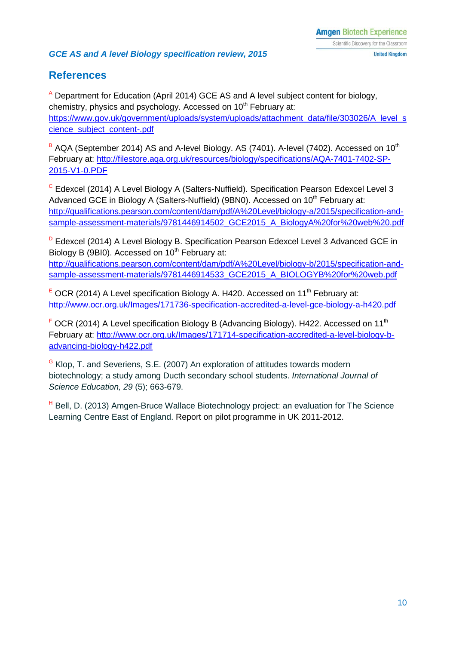### <span id="page-9-0"></span>**References**

<sup>A</sup> Department for Education (April 2014) GCE AS and A level subject content for biology, chemistry, physics and psychology. Accessed on 10<sup>th</sup> February at: [https://www.gov.uk/government/uploads/system/uploads/attachment\\_data/file/303026/A\\_level\\_s](https://www.gov.uk/government/uploads/system/uploads/attachment_data/file/303026/A_level_science_subject_content-.pdf) [cience\\_subject\\_content-.pdf](https://www.gov.uk/government/uploads/system/uploads/attachment_data/file/303026/A_level_science_subject_content-.pdf)

 $B$  AQA (September 2014) AS and A-level Biology. AS (7401). A-level (7402). Accessed on 10<sup>th</sup> February at: [http://filestore.aqa.org.uk/resources/biology/specifications/AQA-7401-7402-SP-](http://filestore.aqa.org.uk/resources/biology/specifications/AQA-7401-7402-SP-2015-V1-0.PDF)[2015-V1-0.PDF](http://filestore.aqa.org.uk/resources/biology/specifications/AQA-7401-7402-SP-2015-V1-0.PDF)

<sup>C</sup> Edexcel (2014) A Level Biology A (Salters-Nuffield). Specification Pearson Edexcel Level 3 Advanced GCE in Biology A (Salters-Nuffield) (9BN0). Accessed on 10<sup>th</sup> February at: [http://qualifications.pearson.com/content/dam/pdf/A%20Level/biology-a/2015/specification-and](http://qualifications.pearson.com/content/dam/pdf/A%20Level/biology-a/2015/specification-and-sample-assessment-materials/9781446914502_GCE2015_A_BiologyA%20for%20web%20.pdf)[sample-assessment-materials/9781446914502\\_GCE2015\\_A\\_BiologyA%20for%20web%20.pdf](http://qualifications.pearson.com/content/dam/pdf/A%20Level/biology-a/2015/specification-and-sample-assessment-materials/9781446914502_GCE2015_A_BiologyA%20for%20web%20.pdf)

<sup>D</sup> Edexcel (2014) A Level Biology B. Specification Pearson Edexcel Level 3 Advanced GCE in Biology B (9BI0). Accessed on  $10<sup>th</sup>$  February at:

[http://qualifications.pearson.com/content/dam/pdf/A%20Level/biology-b/2015/specification-and](http://qualifications.pearson.com/content/dam/pdf/A%20Level/biology-b/2015/specification-and-sample-assessment-materials/9781446914533_GCE2015_A_BIOLOGYB%20for%20web.pdf)[sample-assessment-materials/9781446914533\\_GCE2015\\_A\\_BIOLOGYB%20for%20web.pdf](http://qualifications.pearson.com/content/dam/pdf/A%20Level/biology-b/2015/specification-and-sample-assessment-materials/9781446914533_GCE2015_A_BIOLOGYB%20for%20web.pdf)

 $E$  OCR (2014) A Level specification Biology A. H420. Accessed on 11<sup>th</sup> February at: <http://www.ocr.org.uk/Images/171736-specification-accredited-a-level-gce-biology-a-h420.pdf>

 $F$  OCR (2014) A Level specification Biology B (Advancing Biology). H422. Accessed on 11<sup>th</sup> February at: [http://www.ocr.org.uk/Images/171714-specification-accredited-a-level-biology-b](http://www.ocr.org.uk/Images/171714-specification-accredited-a-level-biology-b-advancing-biology-h422.pdf)[advancing-biology-h422.pdf](http://www.ocr.org.uk/Images/171714-specification-accredited-a-level-biology-b-advancing-biology-h422.pdf)

<sup>G</sup> Klop, T. and Severiens, S.E. (2007) An exploration of attitudes towards modern biotechnology; a study among Ducth secondary school students. *International Journal of Science Education, 29* (5); 663-679.

H Bell, D. (2013) Amgen-Bruce Wallace Biotechnology project: an evaluation for The Science Learning Centre East of England. Report on pilot programme in UK 2011-2012.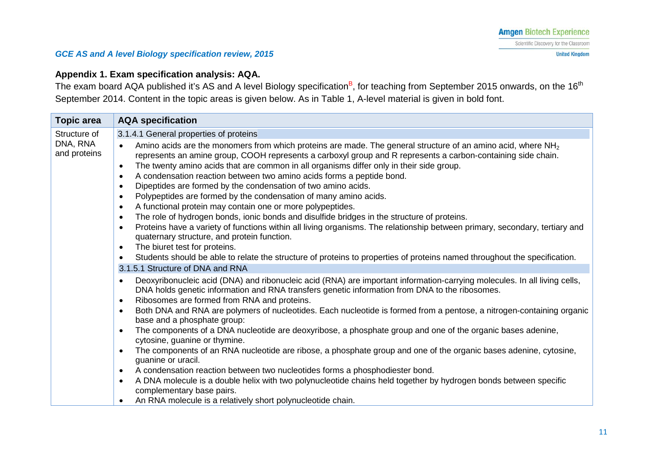### **Appendix 1. Exam specification analysis: AQA.**

The exam board AQA published it's AS and A level Biology specification<sup>B</sup>, for teaching from September 2015 onwards, on the 16<sup>th</sup> September 2014. Content in the topic areas is given below. As in Table 1, A-level material is given in bold font.

<span id="page-10-0"></span>

| <b>Topic area</b>        | <b>AQA</b> specification                                                                                                                                                                                                                                                                                                                                                                                                                                                                                                                                                                                                                                                                                                                                                                                                                                                                                                                                                                                                                                                                                                                                                                      |
|--------------------------|-----------------------------------------------------------------------------------------------------------------------------------------------------------------------------------------------------------------------------------------------------------------------------------------------------------------------------------------------------------------------------------------------------------------------------------------------------------------------------------------------------------------------------------------------------------------------------------------------------------------------------------------------------------------------------------------------------------------------------------------------------------------------------------------------------------------------------------------------------------------------------------------------------------------------------------------------------------------------------------------------------------------------------------------------------------------------------------------------------------------------------------------------------------------------------------------------|
| Structure of             | 3.1.4.1 General properties of proteins                                                                                                                                                                                                                                                                                                                                                                                                                                                                                                                                                                                                                                                                                                                                                                                                                                                                                                                                                                                                                                                                                                                                                        |
| DNA, RNA<br>and proteins | Amino acids are the monomers from which proteins are made. The general structure of an amino acid, where NH <sub>2</sub><br>$\bullet$<br>represents an amine group, COOH represents a carboxyl group and R represents a carbon-containing side chain.<br>The twenty amino acids that are common in all organisms differ only in their side group.<br>$\bullet$<br>A condensation reaction between two amino acids forms a peptide bond.<br>$\bullet$<br>Dipeptides are formed by the condensation of two amino acids.<br>$\bullet$<br>Polypeptides are formed by the condensation of many amino acids.<br>$\bullet$<br>A functional protein may contain one or more polypeptides.<br>$\bullet$<br>The role of hydrogen bonds, ionic bonds and disulfide bridges in the structure of proteins.<br>$\bullet$<br>Proteins have a variety of functions within all living organisms. The relationship between primary, secondary, tertiary and<br>$\bullet$<br>quaternary structure, and protein function.<br>The biuret test for proteins.<br>$\bullet$<br>Students should be able to relate the structure of proteins to properties of proteins named throughout the specification.<br>$\bullet$ |
|                          | 3.1.5.1 Structure of DNA and RNA                                                                                                                                                                                                                                                                                                                                                                                                                                                                                                                                                                                                                                                                                                                                                                                                                                                                                                                                                                                                                                                                                                                                                              |
|                          | Deoxyribonucleic acid (DNA) and ribonucleic acid (RNA) are important information-carrying molecules. In all living cells,<br>$\bullet$<br>DNA holds genetic information and RNA transfers genetic information from DNA to the ribosomes.<br>Ribosomes are formed from RNA and proteins.<br>$\bullet$<br>Both DNA and RNA are polymers of nucleotides. Each nucleotide is formed from a pentose, a nitrogen-containing organic<br>$\bullet$<br>base and a phosphate group:<br>The components of a DNA nucleotide are deoxyribose, a phosphate group and one of the organic bases adenine,<br>$\bullet$<br>cytosine, guanine or thymine.<br>The components of an RNA nucleotide are ribose, a phosphate group and one of the organic bases adenine, cytosine,<br>$\bullet$<br>guanine or uracil.<br>A condensation reaction between two nucleotides forms a phosphodiester bond.<br>$\bullet$<br>A DNA molecule is a double helix with two polynucleotide chains held together by hydrogen bonds between specific<br>$\bullet$<br>complementary base pairs.<br>An RNA molecule is a relatively short polynucleotide chain.<br>$\bullet$                                                         |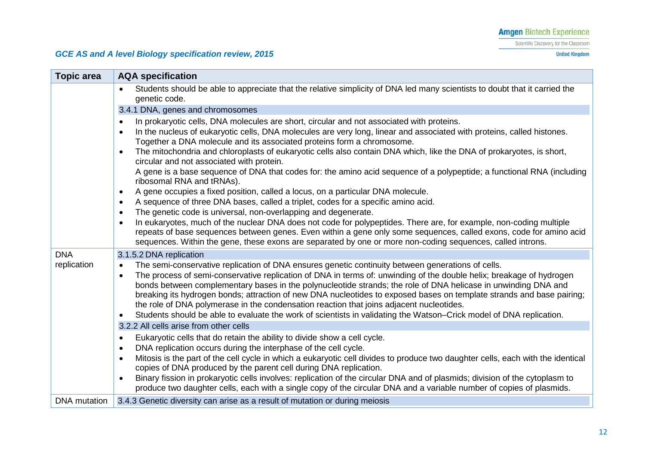Scientific Discovery for the Classroom

**United Kingdom** 

### *GCE AS and A level Biology specification review, 2015*

| <b>Topic area</b> | <b>AQA specification</b>                                                                                                                                                                                                                                                                                                                                                                                                                                                                                                                                                                                                                                                                                                                                                                                                                                                                                                                                                                                                                                                                                                                                                                                                                                                                                                 |
|-------------------|--------------------------------------------------------------------------------------------------------------------------------------------------------------------------------------------------------------------------------------------------------------------------------------------------------------------------------------------------------------------------------------------------------------------------------------------------------------------------------------------------------------------------------------------------------------------------------------------------------------------------------------------------------------------------------------------------------------------------------------------------------------------------------------------------------------------------------------------------------------------------------------------------------------------------------------------------------------------------------------------------------------------------------------------------------------------------------------------------------------------------------------------------------------------------------------------------------------------------------------------------------------------------------------------------------------------------|
|                   | Students should be able to appreciate that the relative simplicity of DNA led many scientists to doubt that it carried the<br>$\bullet$<br>genetic code.                                                                                                                                                                                                                                                                                                                                                                                                                                                                                                                                                                                                                                                                                                                                                                                                                                                                                                                                                                                                                                                                                                                                                                 |
|                   | 3.4.1 DNA, genes and chromosomes                                                                                                                                                                                                                                                                                                                                                                                                                                                                                                                                                                                                                                                                                                                                                                                                                                                                                                                                                                                                                                                                                                                                                                                                                                                                                         |
|                   | In prokaryotic cells, DNA molecules are short, circular and not associated with proteins.<br>$\bullet$<br>In the nucleus of eukaryotic cells, DNA molecules are very long, linear and associated with proteins, called histones.<br>$\bullet$<br>Together a DNA molecule and its associated proteins form a chromosome.<br>The mitochondria and chloroplasts of eukaryotic cells also contain DNA which, like the DNA of prokaryotes, is short,<br>$\bullet$<br>circular and not associated with protein.<br>A gene is a base sequence of DNA that codes for: the amino acid sequence of a polypeptide; a functional RNA (including<br>ribosomal RNA and tRNAs).<br>A gene occupies a fixed position, called a locus, on a particular DNA molecule.<br>$\bullet$<br>A sequence of three DNA bases, called a triplet, codes for a specific amino acid.<br>$\bullet$<br>The genetic code is universal, non-overlapping and degenerate.<br>$\bullet$<br>In eukaryotes, much of the nuclear DNA does not code for polypeptides. There are, for example, non-coding multiple<br>$\bullet$<br>repeats of base sequences between genes. Even within a gene only some sequences, called exons, code for amino acid<br>sequences. Within the gene, these exons are separated by one or more non-coding sequences, called introns. |
| <b>DNA</b>        | 3.1.5.2 DNA replication                                                                                                                                                                                                                                                                                                                                                                                                                                                                                                                                                                                                                                                                                                                                                                                                                                                                                                                                                                                                                                                                                                                                                                                                                                                                                                  |
| replication       | The semi-conservative replication of DNA ensures genetic continuity between generations of cells.<br>$\bullet$<br>The process of semi-conservative replication of DNA in terms of: unwinding of the double helix; breakage of hydrogen<br>$\bullet$<br>bonds between complementary bases in the polynucleotide strands; the role of DNA helicase in unwinding DNA and<br>breaking its hydrogen bonds; attraction of new DNA nucleotides to exposed bases on template strands and base pairing;<br>the role of DNA polymerase in the condensation reaction that joins adjacent nucleotides.<br>Students should be able to evaluate the work of scientists in validating the Watson-Crick model of DNA replication.<br>$\bullet$                                                                                                                                                                                                                                                                                                                                                                                                                                                                                                                                                                                           |
|                   | 3.2.2 All cells arise from other cells                                                                                                                                                                                                                                                                                                                                                                                                                                                                                                                                                                                                                                                                                                                                                                                                                                                                                                                                                                                                                                                                                                                                                                                                                                                                                   |
|                   | Eukaryotic cells that do retain the ability to divide show a cell cycle.<br>$\bullet$<br>DNA replication occurs during the interphase of the cell cycle.<br>$\bullet$<br>Mitosis is the part of the cell cycle in which a eukaryotic cell divides to produce two daughter cells, each with the identical<br>$\bullet$<br>copies of DNA produced by the parent cell during DNA replication.<br>Binary fission in prokaryotic cells involves: replication of the circular DNA and of plasmids; division of the cytoplasm to<br>$\bullet$<br>produce two daughter cells, each with a single copy of the circular DNA and a variable number of copies of plasmids.                                                                                                                                                                                                                                                                                                                                                                                                                                                                                                                                                                                                                                                           |
|                   | the contract of the contract of the contract of the contract of the contract of the contract of the contract of                                                                                                                                                                                                                                                                                                                                                                                                                                                                                                                                                                                                                                                                                                                                                                                                                                                                                                                                                                                                                                                                                                                                                                                                          |

#### DNA mutation 3.4.3 Genetic diversity can arise as a result of mutation or during meiosis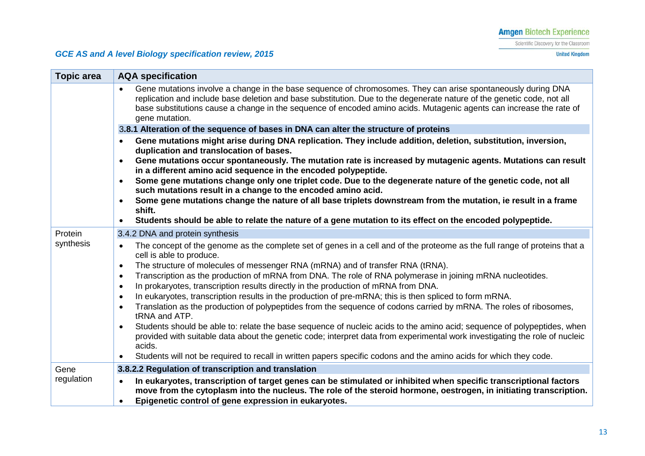#### Scientific Discovery for the Classroom

**United Kingdom** 

| <b>Topic area</b> | <b>AQA specification</b>                                                                                                                                                                                                                                                                                                                                                        |
|-------------------|---------------------------------------------------------------------------------------------------------------------------------------------------------------------------------------------------------------------------------------------------------------------------------------------------------------------------------------------------------------------------------|
|                   | Gene mutations involve a change in the base sequence of chromosomes. They can arise spontaneously during DNA<br>replication and include base deletion and base substitution. Due to the degenerate nature of the genetic code, not all<br>base substitutions cause a change in the sequence of encoded amino acids. Mutagenic agents can increase the rate of<br>gene mutation. |
|                   | 3.8.1 Alteration of the sequence of bases in DNA can alter the structure of proteins                                                                                                                                                                                                                                                                                            |
|                   | Gene mutations might arise during DNA replication. They include addition, deletion, substitution, inversion,<br>$\bullet$<br>duplication and translocation of bases.<br>Gene mutations occur spontaneously. The mutation rate is increased by mutagenic agents. Mutations can result                                                                                            |
|                   | in a different amino acid sequence in the encoded polypeptide.                                                                                                                                                                                                                                                                                                                  |
|                   | Some gene mutations change only one triplet code. Due to the degenerate nature of the genetic code, not all<br>$\bullet$<br>such mutations result in a change to the encoded amino acid.                                                                                                                                                                                        |
|                   | Some gene mutations change the nature of all base triplets downstream from the mutation, ie result in a frame<br>$\bullet$                                                                                                                                                                                                                                                      |
|                   | shift.<br>Students should be able to relate the nature of a gene mutation to its effect on the encoded polypeptide.<br>$\bullet$                                                                                                                                                                                                                                                |
| Protein           | 3.4.2 DNA and protein synthesis                                                                                                                                                                                                                                                                                                                                                 |
| synthesis         | The concept of the genome as the complete set of genes in a cell and of the proteome as the full range of proteins that a<br>$\bullet$<br>cell is able to produce.                                                                                                                                                                                                              |
|                   | The structure of molecules of messenger RNA (mRNA) and of transfer RNA (tRNA).<br>$\bullet$                                                                                                                                                                                                                                                                                     |
|                   | Transcription as the production of mRNA from DNA. The role of RNA polymerase in joining mRNA nucleotides.<br>$\bullet$<br>In prokaryotes, transcription results directly in the production of mRNA from DNA.<br>$\bullet$                                                                                                                                                       |
|                   | In eukaryotes, transcription results in the production of pre-mRNA; this is then spliced to form mRNA.<br>$\bullet$                                                                                                                                                                                                                                                             |
|                   | Translation as the production of polypeptides from the sequence of codons carried by mRNA. The roles of ribosomes,<br>$\bullet$<br>tRNA and ATP.                                                                                                                                                                                                                                |
|                   | Students should be able to: relate the base sequence of nucleic acids to the amino acid; sequence of polypeptides, when<br>provided with suitable data about the genetic code; interpret data from experimental work investigating the role of nucleic<br>acids.                                                                                                                |
|                   | Students will not be required to recall in written papers specific codons and the amino acids for which they code.<br>$\bullet$                                                                                                                                                                                                                                                 |
| Gene              | 3.8.2.2 Regulation of transcription and translation                                                                                                                                                                                                                                                                                                                             |
| regulation        | In eukaryotes, transcription of target genes can be stimulated or inhibited when specific transcriptional factors                                                                                                                                                                                                                                                               |
|                   | move from the cytoplasm into the nucleus. The role of the steroid hormone, oestrogen, in initiating transcription.                                                                                                                                                                                                                                                              |
|                   | Epigenetic control of gene expression in eukaryotes.<br>$\bullet$                                                                                                                                                                                                                                                                                                               |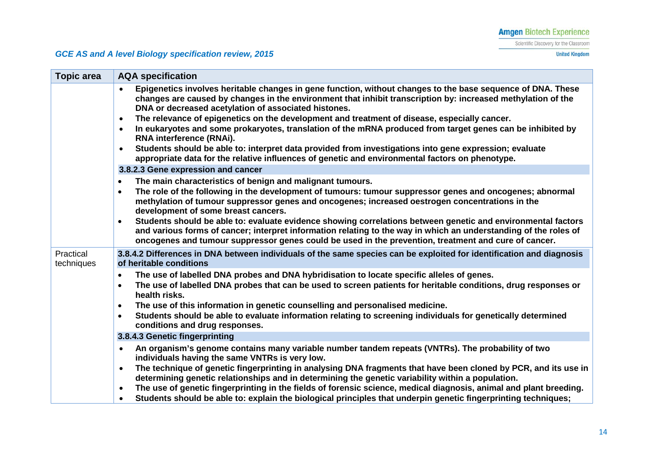**United Kingdom** 

| <b>Topic area</b>       | <b>AQA</b> specification                                                                                                                                                                                                                                                                                                                                                                                                                                                                                                                                                                                                                                                                                                                                                          |
|-------------------------|-----------------------------------------------------------------------------------------------------------------------------------------------------------------------------------------------------------------------------------------------------------------------------------------------------------------------------------------------------------------------------------------------------------------------------------------------------------------------------------------------------------------------------------------------------------------------------------------------------------------------------------------------------------------------------------------------------------------------------------------------------------------------------------|
|                         | Epigenetics involves heritable changes in gene function, without changes to the base sequence of DNA. These<br>changes are caused by changes in the environment that inhibit transcription by: increased methylation of the<br>DNA or decreased acetylation of associated histones.<br>The relevance of epigenetics on the development and treatment of disease, especially cancer.<br>$\bullet$<br>In eukaryotes and some prokaryotes, translation of the mRNA produced from target genes can be inhibited by<br>$\bullet$<br>RNA interference (RNAi).<br>Students should be able to: interpret data provided from investigations into gene expression; evaluate<br>$\bullet$<br>appropriate data for the relative influences of genetic and environmental factors on phenotype. |
|                         | 3.8.2.3 Gene expression and cancer                                                                                                                                                                                                                                                                                                                                                                                                                                                                                                                                                                                                                                                                                                                                                |
|                         | The main characteristics of benign and malignant tumours.<br>$\bullet$<br>The role of the following in the development of tumours: tumour suppressor genes and oncogenes; abnormal<br>$\bullet$<br>methylation of tumour suppressor genes and oncogenes; increased oestrogen concentrations in the<br>development of some breast cancers.                                                                                                                                                                                                                                                                                                                                                                                                                                         |
|                         | Students should be able to: evaluate evidence showing correlations between genetic and environmental factors<br>$\bullet$<br>and various forms of cancer; interpret information relating to the way in which an understanding of the roles of<br>oncogenes and tumour suppressor genes could be used in the prevention, treatment and cure of cancer.                                                                                                                                                                                                                                                                                                                                                                                                                             |
| Practical<br>techniques | 3.8.4.2 Differences in DNA between individuals of the same species can be exploited for identification and diagnosis<br>of heritable conditions                                                                                                                                                                                                                                                                                                                                                                                                                                                                                                                                                                                                                                   |
|                         | The use of labelled DNA probes and DNA hybridisation to locate specific alleles of genes.<br>$\bullet$<br>The use of labelled DNA probes that can be used to screen patients for heritable conditions, drug responses or<br>$\bullet$<br>health risks.                                                                                                                                                                                                                                                                                                                                                                                                                                                                                                                            |
|                         | The use of this information in genetic counselling and personalised medicine.<br>$\bullet$<br>Students should be able to evaluate information relating to screening individuals for genetically determined<br>$\bullet$<br>conditions and drug responses.                                                                                                                                                                                                                                                                                                                                                                                                                                                                                                                         |
|                         | 3.8.4.3 Genetic fingerprinting                                                                                                                                                                                                                                                                                                                                                                                                                                                                                                                                                                                                                                                                                                                                                    |
|                         | An organism's genome contains many variable number tandem repeats (VNTRs). The probability of two<br>$\bullet$<br>individuals having the same VNTRs is very low.<br>The technique of genetic fingerprinting in analysing DNA fragments that have been cloned by PCR, and its use in<br>$\bullet$                                                                                                                                                                                                                                                                                                                                                                                                                                                                                  |
|                         | determining genetic relationships and in determining the genetic variability within a population.<br>The use of genetic fingerprinting in the fields of forensic science, medical diagnosis, animal and plant breeding.<br>$\bullet$<br>Students should be able to: explain the biological principles that underpin genetic fingerprinting techniques;<br>$\bullet$                                                                                                                                                                                                                                                                                                                                                                                                               |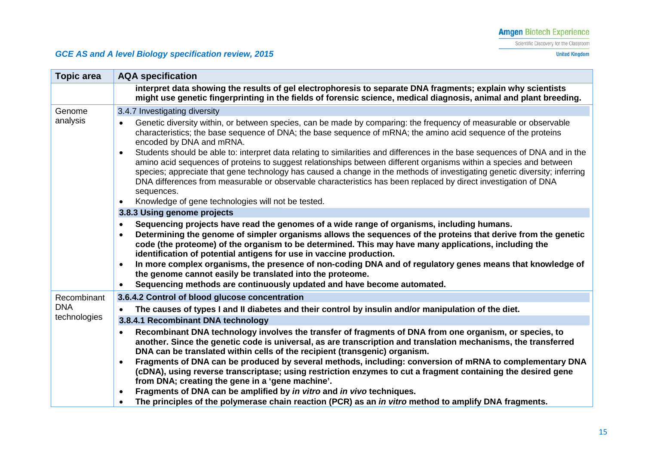Scientific Discovery for the Classroom

**United Kingdom** 

| <b>Topic area</b>  | <b>AQA specification</b>                                                                                                                                                                                                                                                                                                                                                                                                                                                                                                                                                                                                                                                                              |
|--------------------|-------------------------------------------------------------------------------------------------------------------------------------------------------------------------------------------------------------------------------------------------------------------------------------------------------------------------------------------------------------------------------------------------------------------------------------------------------------------------------------------------------------------------------------------------------------------------------------------------------------------------------------------------------------------------------------------------------|
|                    | interpret data showing the results of gel electrophoresis to separate DNA fragments; explain why scientists<br>might use genetic fingerprinting in the fields of forensic science, medical diagnosis, animal and plant breeding.                                                                                                                                                                                                                                                                                                                                                                                                                                                                      |
| Genome<br>analysis | 3.4.7 Investigating diversity                                                                                                                                                                                                                                                                                                                                                                                                                                                                                                                                                                                                                                                                         |
|                    | Genetic diversity within, or between species, can be made by comparing: the frequency of measurable or observable<br>characteristics; the base sequence of DNA; the base sequence of mRNA; the amino acid sequence of the proteins<br>encoded by DNA and mRNA.                                                                                                                                                                                                                                                                                                                                                                                                                                        |
|                    | Students should be able to: interpret data relating to similarities and differences in the base sequences of DNA and in the<br>$\bullet$<br>amino acid sequences of proteins to suggest relationships between different organisms within a species and between<br>species; appreciate that gene technology has caused a change in the methods of investigating genetic diversity; inferring<br>DNA differences from measurable or observable characteristics has been replaced by direct investigation of DNA<br>sequences.                                                                                                                                                                           |
|                    | Knowledge of gene technologies will not be tested.<br>$\bullet$                                                                                                                                                                                                                                                                                                                                                                                                                                                                                                                                                                                                                                       |
|                    | 3.8.3 Using genome projects                                                                                                                                                                                                                                                                                                                                                                                                                                                                                                                                                                                                                                                                           |
|                    | Sequencing projects have read the genomes of a wide range of organisms, including humans.<br>$\bullet$<br>Determining the genome of simpler organisms allows the sequences of the proteins that derive from the genetic<br>$\bullet$<br>code (the proteome) of the organism to be determined. This may have many applications, including the<br>identification of potential antigens for use in vaccine production.<br>In more complex organisms, the presence of non-coding DNA and of regulatory genes means that knowledge of<br>$\bullet$<br>the genome cannot easily be translated into the proteome.<br>Sequencing methods are continuously updated and have become automated.<br>$\bullet$     |
| Recombinant        | 3.6.4.2 Control of blood glucose concentration                                                                                                                                                                                                                                                                                                                                                                                                                                                                                                                                                                                                                                                        |
| <b>DNA</b>         | The causes of types I and II diabetes and their control by insulin and/or manipulation of the diet.                                                                                                                                                                                                                                                                                                                                                                                                                                                                                                                                                                                                   |
| technologies       | 3.8.4.1 Recombinant DNA technology                                                                                                                                                                                                                                                                                                                                                                                                                                                                                                                                                                                                                                                                    |
|                    | Recombinant DNA technology involves the transfer of fragments of DNA from one organism, or species, to<br>$\bullet$<br>another. Since the genetic code is universal, as are transcription and translation mechanisms, the transferred<br>DNA can be translated within cells of the recipient (transgenic) organism.<br>Fragments of DNA can be produced by several methods, including: conversion of mRNA to complementary DNA<br>$\bullet$<br>(cDNA), using reverse transcriptase; using restriction enzymes to cut a fragment containing the desired gene<br>from DNA; creating the gene in a 'gene machine'.<br>Fragments of DNA can be amplified by in vitro and in vivo techniques.<br>$\bullet$ |
|                    | The principles of the polymerase chain reaction (PCR) as an <i>in vitro</i> method to amplify DNA fragments.                                                                                                                                                                                                                                                                                                                                                                                                                                                                                                                                                                                          |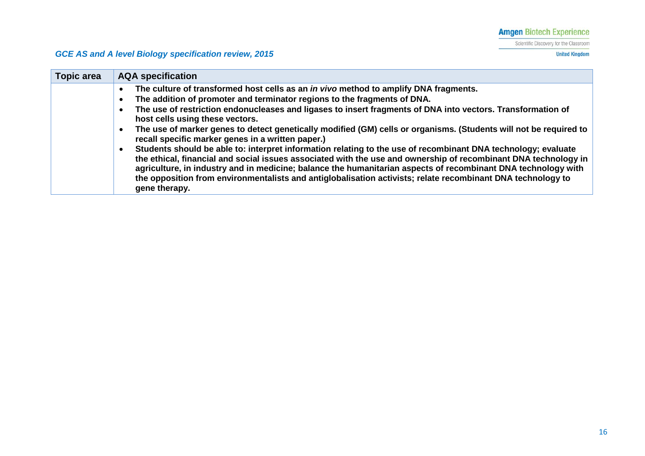Scientific Discovery for the Classroom

**United Kingdom** 

| <b>Topic area</b> | <b>AQA</b> specification                                                                                                                                                                                                                                                                                                                                                                                                                                                          |
|-------------------|-----------------------------------------------------------------------------------------------------------------------------------------------------------------------------------------------------------------------------------------------------------------------------------------------------------------------------------------------------------------------------------------------------------------------------------------------------------------------------------|
|                   | The culture of transformed host cells as an <i>in vivo</i> method to amplify DNA fragments.                                                                                                                                                                                                                                                                                                                                                                                       |
|                   | The addition of promoter and terminator regions to the fragments of DNA.                                                                                                                                                                                                                                                                                                                                                                                                          |
|                   | The use of restriction endonucleases and ligases to insert fragments of DNA into vectors. Transformation of<br>host cells using these vectors.                                                                                                                                                                                                                                                                                                                                    |
|                   | The use of marker genes to detect genetically modified (GM) cells or organisms. (Students will not be required to<br>recall specific marker genes in a written paper.)                                                                                                                                                                                                                                                                                                            |
|                   | Students should be able to: interpret information relating to the use of recombinant DNA technology; evaluate<br>the ethical, financial and social issues associated with the use and ownership of recombinant DNA technology in<br>agriculture, in industry and in medicine; balance the humanitarian aspects of recombinant DNA technology with<br>the opposition from environmentalists and antiglobalisation activists; relate recombinant DNA technology to<br>gene therapy. |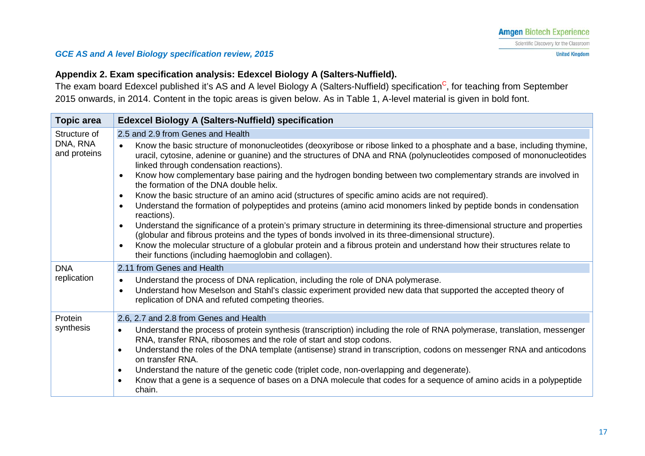### **Appendix 2. Exam specification analysis: Edexcel Biology A (Salters-Nuffield).**

The exam board Edexcel published it's AS and A level Biology A (Salters-Nuffield) specification<sup>C</sup>, for teaching from September 2015 onwards, in 2014. Content in the topic areas is given below. As in Table 1, A-level material is given in bold font.

<span id="page-16-0"></span>

| <b>Topic area</b>        | <b>Edexcel Biology A (Salters-Nuffield) specification</b>                                                                                                                                                                                                                                                                                                                                                                                                                                                                                                                                                                                                                                                                                                                                                                                                                                                                                                                                                                                                                                                                                                                                             |
|--------------------------|-------------------------------------------------------------------------------------------------------------------------------------------------------------------------------------------------------------------------------------------------------------------------------------------------------------------------------------------------------------------------------------------------------------------------------------------------------------------------------------------------------------------------------------------------------------------------------------------------------------------------------------------------------------------------------------------------------------------------------------------------------------------------------------------------------------------------------------------------------------------------------------------------------------------------------------------------------------------------------------------------------------------------------------------------------------------------------------------------------------------------------------------------------------------------------------------------------|
| Structure of             | 2.5 and 2.9 from Genes and Health                                                                                                                                                                                                                                                                                                                                                                                                                                                                                                                                                                                                                                                                                                                                                                                                                                                                                                                                                                                                                                                                                                                                                                     |
| DNA, RNA<br>and proteins | Know the basic structure of mononucleotides (deoxyribose or ribose linked to a phosphate and a base, including thymine,<br>$\bullet$<br>uracil, cytosine, adenine or guanine) and the structures of DNA and RNA (polynucleotides composed of mononucleotides<br>linked through condensation reactions).<br>Know how complementary base pairing and the hydrogen bonding between two complementary strands are involved in<br>$\bullet$<br>the formation of the DNA double helix.<br>Know the basic structure of an amino acid (structures of specific amino acids are not required).<br>$\bullet$<br>Understand the formation of polypeptides and proteins (amino acid monomers linked by peptide bonds in condensation<br>$\bullet$<br>reactions).<br>Understand the significance of a protein's primary structure in determining its three-dimensional structure and properties<br>$\bullet$<br>(globular and fibrous proteins and the types of bonds involved in its three-dimensional structure).<br>Know the molecular structure of a globular protein and a fibrous protein and understand how their structures relate to<br>$\bullet$<br>their functions (including haemoglobin and collagen). |
| <b>DNA</b>               | 2.11 from Genes and Health                                                                                                                                                                                                                                                                                                                                                                                                                                                                                                                                                                                                                                                                                                                                                                                                                                                                                                                                                                                                                                                                                                                                                                            |
| replication              | Understand the process of DNA replication, including the role of DNA polymerase.<br>$\bullet$<br>Understand how Meselson and Stahl's classic experiment provided new data that supported the accepted theory of<br>$\bullet$<br>replication of DNA and refuted competing theories.                                                                                                                                                                                                                                                                                                                                                                                                                                                                                                                                                                                                                                                                                                                                                                                                                                                                                                                    |
| Protein                  | 2.6, 2.7 and 2.8 from Genes and Health                                                                                                                                                                                                                                                                                                                                                                                                                                                                                                                                                                                                                                                                                                                                                                                                                                                                                                                                                                                                                                                                                                                                                                |
| synthesis                | Understand the process of protein synthesis (transcription) including the role of RNA polymerase, translation, messenger<br>$\bullet$<br>RNA, transfer RNA, ribosomes and the role of start and stop codons.<br>Understand the roles of the DNA template (antisense) strand in transcription, codons on messenger RNA and anticodons<br>$\bullet$<br>on transfer RNA.<br>Understand the nature of the genetic code (triplet code, non-overlapping and degenerate).<br>$\bullet$<br>Know that a gene is a sequence of bases on a DNA molecule that codes for a sequence of amino acids in a polypeptide<br>$\bullet$<br>chain.                                                                                                                                                                                                                                                                                                                                                                                                                                                                                                                                                                         |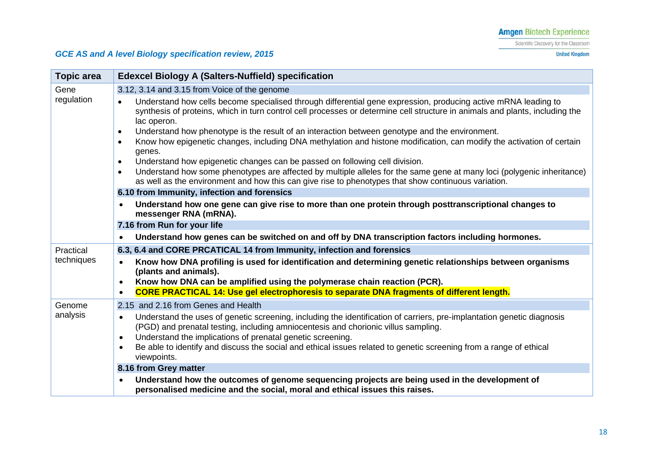Scientific Discovery for the Classroom

**United Kingdom** 

| <b>Topic area</b>  | <b>Edexcel Biology A (Salters-Nuffield) specification</b>                                                                                                                                                                                                     |
|--------------------|---------------------------------------------------------------------------------------------------------------------------------------------------------------------------------------------------------------------------------------------------------------|
| Gene               | 3.12, 3.14 and 3.15 from Voice of the genome                                                                                                                                                                                                                  |
| regulation         | Understand how cells become specialised through differential gene expression, producing active mRNA leading to<br>synthesis of proteins, which in turn control cell processes or determine cell structure in animals and plants, including the<br>lac operon. |
|                    | Understand how phenotype is the result of an interaction between genotype and the environment.<br>$\bullet$                                                                                                                                                   |
|                    | Know how epigenetic changes, including DNA methylation and histone modification, can modify the activation of certain<br>$\bullet$<br>genes.                                                                                                                  |
|                    | Understand how epigenetic changes can be passed on following cell division.<br>$\bullet$                                                                                                                                                                      |
|                    | Understand how some phenotypes are affected by multiple alleles for the same gene at many loci (polygenic inheritance)<br>$\bullet$<br>as well as the environment and how this can give rise to phenotypes that show continuous variation.                    |
|                    | 6.10 from Immunity, infection and forensics                                                                                                                                                                                                                   |
|                    | Understand how one gene can give rise to more than one protein through posttranscriptional changes to<br>$\bullet$<br>messenger RNA (mRNA).                                                                                                                   |
|                    | 7.16 from Run for your life                                                                                                                                                                                                                                   |
|                    | Understand how genes can be switched on and off by DNA transcription factors including hormones.                                                                                                                                                              |
| Practical          | 6.3, 6.4 and CORE PRCATICAL 14 from Immunity, infection and forensics                                                                                                                                                                                         |
| techniques         | Know how DNA profiling is used for identification and determining genetic relationships between organisms<br>(plants and animals).                                                                                                                            |
|                    | Know how DNA can be amplified using the polymerase chain reaction (PCR).<br>$\bullet$                                                                                                                                                                         |
|                    | <b>CORE PRACTICAL 14: Use gel electrophoresis to separate DNA fragments of different length.</b>                                                                                                                                                              |
| Genome<br>analysis | 2.15 and 2.16 from Genes and Health                                                                                                                                                                                                                           |
|                    | Understand the uses of genetic screening, including the identification of carriers, pre-implantation genetic diagnosis<br>$\bullet$<br>(PGD) and prenatal testing, including amniocentesis and chorionic villus sampling.                                     |
|                    | Understand the implications of prenatal genetic screening.<br>$\bullet$<br>Be able to identify and discuss the social and ethical issues related to genetic screening from a range of ethical                                                                 |
|                    | viewpoints.                                                                                                                                                                                                                                                   |
|                    | 8.16 from Grey matter                                                                                                                                                                                                                                         |
|                    | Understand how the outcomes of genome sequencing projects are being used in the development of<br>personalised medicine and the social, moral and ethical issues this raises.                                                                                 |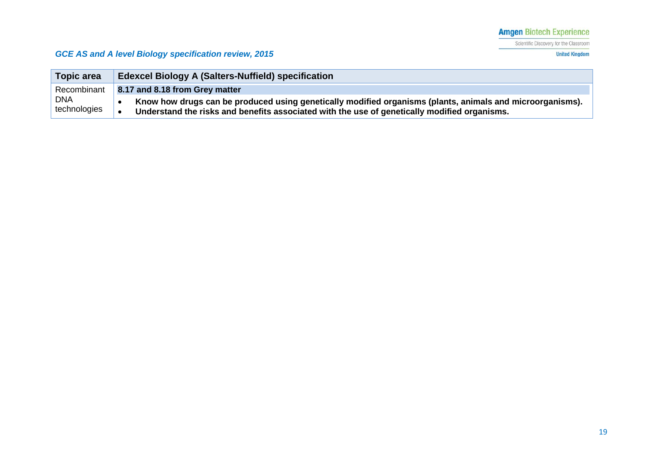Scientific Discovery for the Classroom

**United Kingdom** 

| <b>Topic area</b>          | <b>Edexcel Biology A (Salters-Nuffield) specification</b>                                                                                                                                                 |
|----------------------------|-----------------------------------------------------------------------------------------------------------------------------------------------------------------------------------------------------------|
| Recombinant                | 8.17 and 8.18 from Grey matter                                                                                                                                                                            |
| <b>DNA</b><br>technologies | Know how drugs can be produced using genetically modified organisms (plants, animals and microorganisms).<br>Understand the risks and benefits associated with the use of genetically modified organisms. |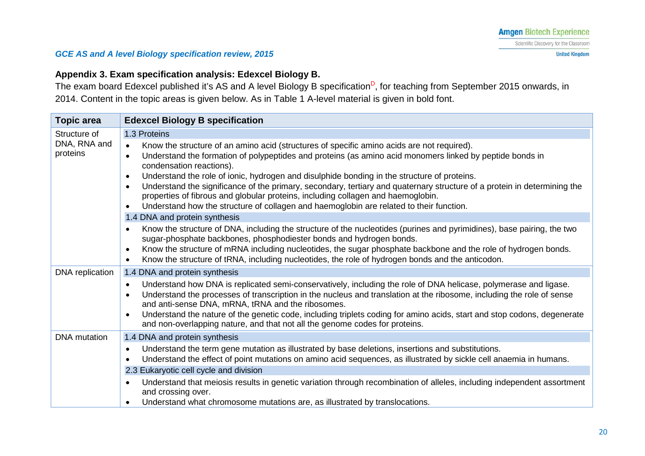**United Kingdom** 

#### *GCE AS and A level Biology specification review, 2015*

### **Appendix 3. Exam specification analysis: Edexcel Biology B.**

The exam board Edexcel published it's AS and A level Biology B specification<sup>D</sup>, for teaching from September 2015 onwards, in 2014. Content in the topic areas is given below. As in Table 1 A-level material is given in bold font.

<span id="page-19-0"></span>

| <b>Topic area</b>                        | <b>Edexcel Biology B specification</b>                                                                                                                                                                                                                                                                                                                                                                                                                                                                                                                                                                                                                                                                                                         |
|------------------------------------------|------------------------------------------------------------------------------------------------------------------------------------------------------------------------------------------------------------------------------------------------------------------------------------------------------------------------------------------------------------------------------------------------------------------------------------------------------------------------------------------------------------------------------------------------------------------------------------------------------------------------------------------------------------------------------------------------------------------------------------------------|
| Structure of<br>DNA, RNA and<br>proteins | 1.3 Proteins                                                                                                                                                                                                                                                                                                                                                                                                                                                                                                                                                                                                                                                                                                                                   |
|                                          | Know the structure of an amino acid (structures of specific amino acids are not required).<br>$\bullet$<br>Understand the formation of polypeptides and proteins (as amino acid monomers linked by peptide bonds in<br>$\bullet$<br>condensation reactions).<br>Understand the role of ionic, hydrogen and disulphide bonding in the structure of proteins.<br>$\bullet$<br>Understand the significance of the primary, secondary, tertiary and quaternary structure of a protein in determining the<br>$\bullet$<br>properties of fibrous and globular proteins, including collagen and haemoglobin.<br>Understand how the structure of collagen and haemoglobin are related to their function.<br>$\bullet$<br>1.4 DNA and protein synthesis |
|                                          | Know the structure of DNA, including the structure of the nucleotides (purines and pyrimidines), base pairing, the two<br>$\bullet$<br>sugar-phosphate backbones, phosphodiester bonds and hydrogen bonds.<br>Know the structure of mRNA including nucleotides, the sugar phosphate backbone and the role of hydrogen bonds.<br>$\bullet$<br>Know the structure of tRNA, including nucleotides, the role of hydrogen bonds and the anticodon.<br>$\bullet$                                                                                                                                                                                                                                                                                     |
| DNA replication                          | 1.4 DNA and protein synthesis                                                                                                                                                                                                                                                                                                                                                                                                                                                                                                                                                                                                                                                                                                                  |
|                                          | Understand how DNA is replicated semi-conservatively, including the role of DNA helicase, polymerase and ligase.<br>$\bullet$<br>Understand the processes of transcription in the nucleus and translation at the ribosome, including the role of sense<br>$\bullet$<br>and anti-sense DNA, mRNA, tRNA and the ribosomes.<br>Understand the nature of the genetic code, including triplets coding for amino acids, start and stop codons, degenerate<br>$\bullet$<br>and non-overlapping nature, and that not all the genome codes for proteins.                                                                                                                                                                                                |
| <b>DNA</b> mutation                      | 1.4 DNA and protein synthesis                                                                                                                                                                                                                                                                                                                                                                                                                                                                                                                                                                                                                                                                                                                  |
|                                          | Understand the term gene mutation as illustrated by base deletions, insertions and substitutions.<br>$\bullet$<br>Understand the effect of point mutations on amino acid sequences, as illustrated by sickle cell anaemia in humans.<br>$\bullet$                                                                                                                                                                                                                                                                                                                                                                                                                                                                                              |
|                                          | 2.3 Eukaryotic cell cycle and division                                                                                                                                                                                                                                                                                                                                                                                                                                                                                                                                                                                                                                                                                                         |
|                                          | Understand that meiosis results in genetic variation through recombination of alleles, including independent assortment<br>$\bullet$<br>and crossing over.<br>Understand what chromosome mutations are, as illustrated by translocations.<br>$\bullet$                                                                                                                                                                                                                                                                                                                                                                                                                                                                                         |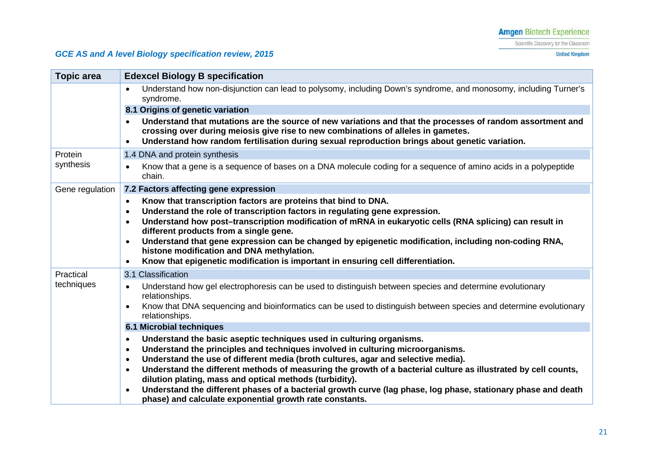Scientific Discovery for the Classroom

### *GCE AS and A level Biology specification review, 2015*

**United Kingdom** 

| <b>Topic area</b> | <b>Edexcel Biology B specification</b>                                                                                                                                                                                                                                                            |
|-------------------|---------------------------------------------------------------------------------------------------------------------------------------------------------------------------------------------------------------------------------------------------------------------------------------------------|
|                   | Understand how non-disjunction can lead to polysomy, including Down's syndrome, and monosomy, including Turner's<br>$\bullet$<br>syndrome.                                                                                                                                                        |
|                   | 8.1 Origins of genetic variation                                                                                                                                                                                                                                                                  |
|                   | Understand that mutations are the source of new variations and that the processes of random assortment and<br>crossing over during meiosis give rise to new combinations of alleles in gametes.<br>Understand how random fertilisation during sexual reproduction brings about genetic variation. |
| Protein           | 1.4 DNA and protein synthesis                                                                                                                                                                                                                                                                     |
| synthesis         | Know that a gene is a sequence of bases on a DNA molecule coding for a sequence of amino acids in a polypeptide<br>$\bullet$<br>chain.                                                                                                                                                            |
| Gene regulation   | 7.2 Factors affecting gene expression                                                                                                                                                                                                                                                             |
|                   | Know that transcription factors are proteins that bind to DNA.                                                                                                                                                                                                                                    |
|                   | Understand the role of transcription factors in regulating gene expression.<br>$\bullet$                                                                                                                                                                                                          |
|                   | Understand how post-transcription modification of mRNA in eukaryotic cells (RNA splicing) can result in<br>different products from a single gene.                                                                                                                                                 |
|                   | Understand that gene expression can be changed by epigenetic modification, including non-coding RNA,<br>$\bullet$                                                                                                                                                                                 |
|                   | histone modification and DNA methylation.                                                                                                                                                                                                                                                         |
|                   | Know that epigenetic modification is important in ensuring cell differentiation.<br>$\bullet$                                                                                                                                                                                                     |
| Practical         | 3.1 Classification                                                                                                                                                                                                                                                                                |
| techniques        | Understand how gel electrophoresis can be used to distinguish between species and determine evolutionary<br>$\bullet$<br>relationships.                                                                                                                                                           |
|                   | Know that DNA sequencing and bioinformatics can be used to distinguish between species and determine evolutionary<br>relationships.                                                                                                                                                               |
|                   | 6.1 Microbial techniques                                                                                                                                                                                                                                                                          |
|                   | Understand the basic aseptic techniques used in culturing organisms.<br>$\bullet$                                                                                                                                                                                                                 |
|                   | Understand the principles and techniques involved in culturing microorganisms.<br>$\bullet$                                                                                                                                                                                                       |
|                   | Understand the use of different media (broth cultures, agar and selective media).<br>$\bullet$<br>Understand the different methods of measuring the growth of a bacterial culture as illustrated by cell counts,<br>$\bullet$                                                                     |
|                   | dilution plating, mass and optical methods (turbidity).                                                                                                                                                                                                                                           |
|                   | Understand the different phases of a bacterial growth curve (lag phase, log phase, stationary phase and death<br>$\bullet$                                                                                                                                                                        |
|                   | phase) and calculate exponential growth rate constants.                                                                                                                                                                                                                                           |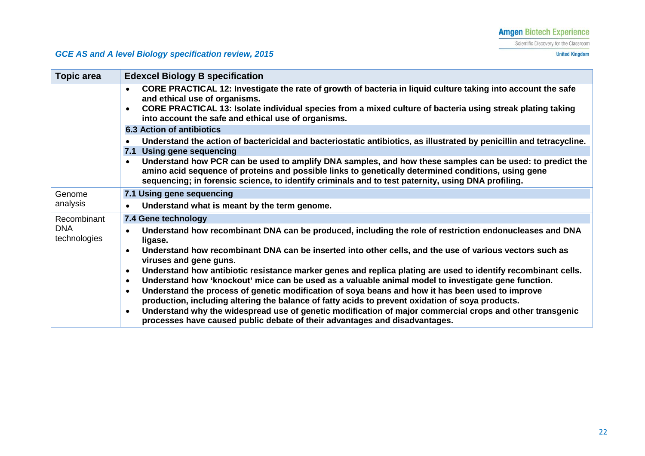Scientific Discovery for the Classroom

**United Kingdom** 

| Topic area                 | <b>Edexcel Biology B specification</b>                                                                                                                                                                                                                                                                                             |
|----------------------------|------------------------------------------------------------------------------------------------------------------------------------------------------------------------------------------------------------------------------------------------------------------------------------------------------------------------------------|
|                            | CORE PRACTICAL 12: Investigate the rate of growth of bacteria in liquid culture taking into account the safe<br>$\bullet$<br>and ethical use of organisms.                                                                                                                                                                         |
|                            | CORE PRACTICAL 13: Isolate individual species from a mixed culture of bacteria using streak plating taking<br>$\bullet$<br>into account the safe and ethical use of organisms.                                                                                                                                                     |
|                            | <b>6.3 Action of antibiotics</b>                                                                                                                                                                                                                                                                                                   |
|                            | Understand the action of bactericidal and bacteriostatic antibiotics, as illustrated by penicillin and tetracycline.<br>$\bullet$                                                                                                                                                                                                  |
|                            | 7.1 Using gene sequencing                                                                                                                                                                                                                                                                                                          |
|                            | Understand how PCR can be used to amplify DNA samples, and how these samples can be used: to predict the<br>$\bullet$<br>amino acid sequence of proteins and possible links to genetically determined conditions, using gene<br>sequencing; in forensic science, to identify criminals and to test paternity, using DNA profiling. |
| Genome                     | 7.1 Using gene sequencing                                                                                                                                                                                                                                                                                                          |
| analysis                   | Understand what is meant by the term genome.<br>$\bullet$                                                                                                                                                                                                                                                                          |
| Recombinant                | 7.4 Gene technology                                                                                                                                                                                                                                                                                                                |
| <b>DNA</b><br>technologies | Understand how recombinant DNA can be produced, including the role of restriction endonucleases and DNA<br>$\bullet$<br>ligase.                                                                                                                                                                                                    |
|                            | Understand how recombinant DNA can be inserted into other cells, and the use of various vectors such as<br>$\bullet$<br>viruses and gene guns.                                                                                                                                                                                     |
|                            | Understand how antibiotic resistance marker genes and replica plating are used to identify recombinant cells.<br>$\bullet$                                                                                                                                                                                                         |
|                            | Understand how 'knockout' mice can be used as a valuable animal model to investigate gene function.<br>$\bullet$                                                                                                                                                                                                                   |
|                            | Understand the process of genetic modification of soya beans and how it has been used to improve<br>$\bullet$                                                                                                                                                                                                                      |
|                            | production, including altering the balance of fatty acids to prevent oxidation of soya products.                                                                                                                                                                                                                                   |
|                            | Understand why the widespread use of genetic modification of major commercial crops and other transgenic<br>$\bullet$<br>processes have caused public debate of their advantages and disadvantages.                                                                                                                                |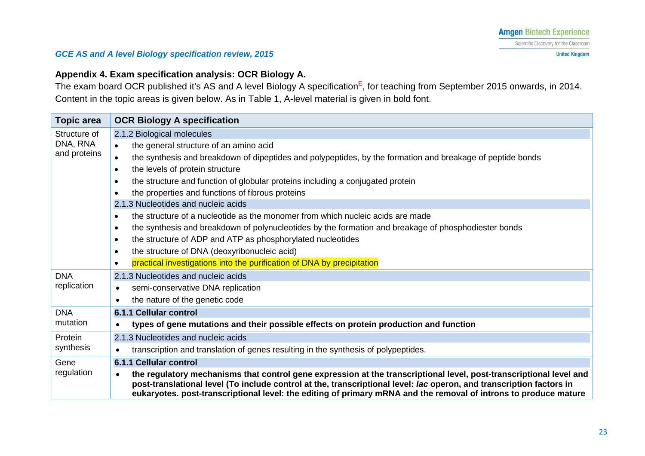### **Appendix 4. Exam specification analysis: OCR Biology A.**

The exam board OCR published it's AS and A level Biology A specification<sup>E</sup>, for teaching from September 2015 onwards, in 2014. Content in the topic areas is given below. As in Table 1, A-level material is given in bold font.

<span id="page-22-0"></span>

| <b>Topic area</b>         | <b>OCR Biology A specification</b>                                                                                                                                                                                                                                                                                                                                                                                                                                                                                                                                                                                                                                                                                                                                                                                                                                  |
|---------------------------|---------------------------------------------------------------------------------------------------------------------------------------------------------------------------------------------------------------------------------------------------------------------------------------------------------------------------------------------------------------------------------------------------------------------------------------------------------------------------------------------------------------------------------------------------------------------------------------------------------------------------------------------------------------------------------------------------------------------------------------------------------------------------------------------------------------------------------------------------------------------|
| Structure of              | 2.1.2 Biological molecules                                                                                                                                                                                                                                                                                                                                                                                                                                                                                                                                                                                                                                                                                                                                                                                                                                          |
| DNA, RNA<br>and proteins  | the general structure of an amino acid<br>the synthesis and breakdown of dipeptides and polypeptides, by the formation and breakage of peptide bonds<br>$\bullet$<br>the levels of protein structure<br>$\bullet$<br>the structure and function of globular proteins including a conjugated protein<br>٠<br>the properties and functions of fibrous proteins<br>$\bullet$<br>2.1.3 Nucleotides and nucleic acids<br>the structure of a nucleotide as the monomer from which nucleic acids are made<br>$\bullet$<br>the synthesis and breakdown of polynucleotides by the formation and breakage of phosphodiester bonds<br>$\bullet$<br>the structure of ADP and ATP as phosphorylated nucleotides<br>$\bullet$<br>the structure of DNA (deoxyribonucleic acid)<br>$\bullet$<br>practical investigations into the purification of DNA by precipitation<br>$\bullet$ |
| <b>DNA</b><br>replication | 2.1.3 Nucleotides and nucleic acids<br>semi-conservative DNA replication<br>$\bullet$<br>the nature of the genetic code<br>$\bullet$                                                                                                                                                                                                                                                                                                                                                                                                                                                                                                                                                                                                                                                                                                                                |
| <b>DNA</b><br>mutation    | 6.1.1 Cellular control                                                                                                                                                                                                                                                                                                                                                                                                                                                                                                                                                                                                                                                                                                                                                                                                                                              |
|                           | types of gene mutations and their possible effects on protein production and function<br>$\bullet$                                                                                                                                                                                                                                                                                                                                                                                                                                                                                                                                                                                                                                                                                                                                                                  |
| Protein<br>synthesis      | 2.1.3 Nucleotides and nucleic acids                                                                                                                                                                                                                                                                                                                                                                                                                                                                                                                                                                                                                                                                                                                                                                                                                                 |
|                           | transcription and translation of genes resulting in the synthesis of polypeptides.<br>$\bullet$                                                                                                                                                                                                                                                                                                                                                                                                                                                                                                                                                                                                                                                                                                                                                                     |
| Gene<br>regulation        | 6.1.1 Cellular control                                                                                                                                                                                                                                                                                                                                                                                                                                                                                                                                                                                                                                                                                                                                                                                                                                              |
|                           | the regulatory mechanisms that control gene expression at the transcriptional level, post-transcriptional level and<br>$\bullet$<br>post-translational level (To include control at the, transcriptional level: lac operon, and transcription factors in<br>eukaryotes. post-transcriptional level: the editing of primary mRNA and the removal of introns to produce mature                                                                                                                                                                                                                                                                                                                                                                                                                                                                                        |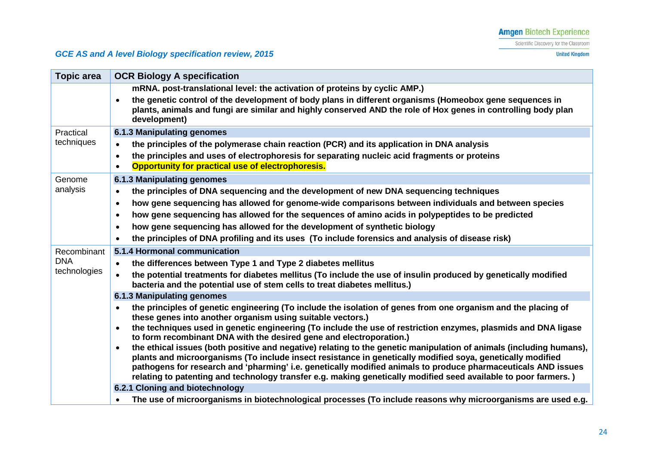Scientific Discovery for the Classroom

**United Kingdom** 

| <b>Topic area</b> | <b>OCR Biology A specification</b>                                                                                                                                                                                                                                                                                                                                                                                                                                                 |
|-------------------|------------------------------------------------------------------------------------------------------------------------------------------------------------------------------------------------------------------------------------------------------------------------------------------------------------------------------------------------------------------------------------------------------------------------------------------------------------------------------------|
|                   | mRNA. post-translational level: the activation of proteins by cyclic AMP.)                                                                                                                                                                                                                                                                                                                                                                                                         |
|                   | the genetic control of the development of body plans in different organisms (Homeobox gene sequences in<br>plants, animals and fungi are similar and highly conserved AND the role of Hox genes in controlling body plan<br>development)                                                                                                                                                                                                                                           |
| Practical         | 6.1.3 Manipulating genomes                                                                                                                                                                                                                                                                                                                                                                                                                                                         |
| techniques        | the principles of the polymerase chain reaction (PCR) and its application in DNA analysis<br>$\bullet$                                                                                                                                                                                                                                                                                                                                                                             |
|                   | the principles and uses of electrophoresis for separating nucleic acid fragments or proteins<br>Opportunity for practical use of electrophoresis.                                                                                                                                                                                                                                                                                                                                  |
| Genome            | 6.1.3 Manipulating genomes                                                                                                                                                                                                                                                                                                                                                                                                                                                         |
| analysis          | the principles of DNA sequencing and the development of new DNA sequencing techniques<br>$\bullet$                                                                                                                                                                                                                                                                                                                                                                                 |
|                   | how gene sequencing has allowed for genome-wide comparisons between individuals and between species<br>$\bullet$                                                                                                                                                                                                                                                                                                                                                                   |
|                   | how gene sequencing has allowed for the sequences of amino acids in polypeptides to be predicted<br>$\bullet$                                                                                                                                                                                                                                                                                                                                                                      |
|                   | how gene sequencing has allowed for the development of synthetic biology<br>$\bullet$                                                                                                                                                                                                                                                                                                                                                                                              |
|                   | the principles of DNA profiling and its uses (To include forensics and analysis of disease risk)                                                                                                                                                                                                                                                                                                                                                                                   |
| Recombinant       | 5.1.4 Hormonal communication                                                                                                                                                                                                                                                                                                                                                                                                                                                       |
| <b>DNA</b>        | the differences between Type 1 and Type 2 diabetes mellitus<br>$\bullet$                                                                                                                                                                                                                                                                                                                                                                                                           |
| technologies      | the potential treatments for diabetes mellitus (To include the use of insulin produced by genetically modified<br>bacteria and the potential use of stem cells to treat diabetes mellitus.)                                                                                                                                                                                                                                                                                        |
|                   | <b>6.1.3 Manipulating genomes</b>                                                                                                                                                                                                                                                                                                                                                                                                                                                  |
|                   | the principles of genetic engineering (To include the isolation of genes from one organism and the placing of<br>these genes into another organism using suitable vectors.)                                                                                                                                                                                                                                                                                                        |
|                   | the techniques used in genetic engineering (To include the use of restriction enzymes, plasmids and DNA ligase<br>$\bullet$<br>to form recombinant DNA with the desired gene and electroporation.)                                                                                                                                                                                                                                                                                 |
|                   | the ethical issues (both positive and negative) relating to the genetic manipulation of animals (including humans),<br>$\bullet$<br>plants and microorganisms (To include insect resistance in genetically modified soya, genetically modified<br>pathogens for research and 'pharming' i.e. genetically modified animals to produce pharmaceuticals AND issues<br>relating to patenting and technology transfer e.g. making genetically modified seed available to poor farmers.) |
|                   | 6.2.1 Cloning and biotechnology                                                                                                                                                                                                                                                                                                                                                                                                                                                    |
|                   | The use of microorganisms in biotechnological processes (To include reasons why microorganisms are used e.g.<br>$\bullet$                                                                                                                                                                                                                                                                                                                                                          |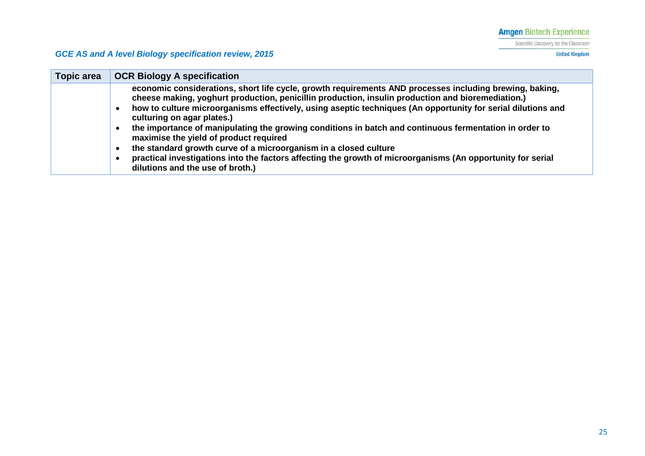Scientific Discovery for the Classroom

**United Kingdom** 

| <b>Topic area</b> | <b>OCR Biology A specification</b>                                                                                                                                                                           |
|-------------------|--------------------------------------------------------------------------------------------------------------------------------------------------------------------------------------------------------------|
|                   | economic considerations, short life cycle, growth requirements AND processes including brewing, baking,<br>cheese making, yoghurt production, penicillin production, insulin production and bioremediation.) |
|                   | how to culture microorganisms effectively, using aseptic techniques (An opportunity for serial dilutions and<br>$\bullet$<br>culturing on agar plates.)                                                      |
|                   | the importance of manipulating the growing conditions in batch and continuous fermentation in order to<br>$\bullet$<br>maximise the yield of product required                                                |
|                   | the standard growth curve of a microorganism in a closed culture<br>$\bullet$                                                                                                                                |
|                   | practical investigations into the factors affecting the growth of microorganisms (An opportunity for serial<br>$\bullet$<br>dilutions and the use of broth.)                                                 |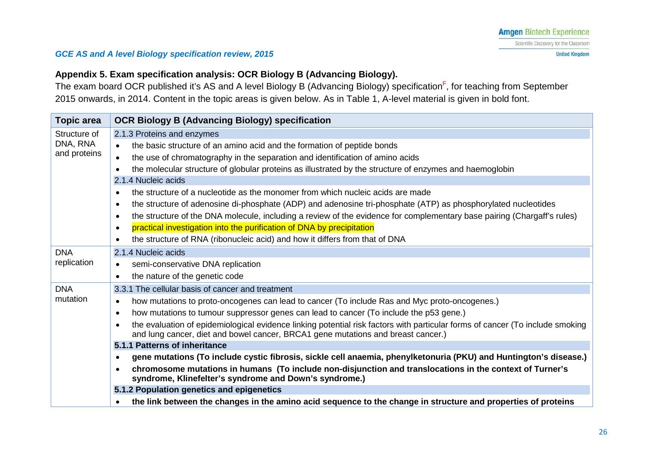### **Appendix 5. Exam specification analysis: OCR Biology B (Advancing Biology).**

The exam board OCR published it's AS and A level Biology B (Advancing Biology) specification<sup>F</sup>, for teaching from September 2015 onwards, in 2014. Content in the topic areas is given below. As in Table 1, A-level material is given in bold font.

<span id="page-25-0"></span>

| <b>Topic area</b>                        | <b>OCR Biology B (Advancing Biology) specification</b>                                                                                                                                                                         |
|------------------------------------------|--------------------------------------------------------------------------------------------------------------------------------------------------------------------------------------------------------------------------------|
| Structure of<br>DNA, RNA<br>and proteins | 2.1.3 Proteins and enzymes                                                                                                                                                                                                     |
|                                          | the basic structure of an amino acid and the formation of peptide bonds<br>$\bullet$                                                                                                                                           |
|                                          | the use of chromatography in the separation and identification of amino acids<br>$\bullet$                                                                                                                                     |
|                                          | the molecular structure of globular proteins as illustrated by the structure of enzymes and haemoglobin<br>$\bullet$                                                                                                           |
|                                          | 2.1.4 Nucleic acids                                                                                                                                                                                                            |
|                                          | the structure of a nucleotide as the monomer from which nucleic acids are made<br>$\bullet$                                                                                                                                    |
|                                          | the structure of adenosine di-phosphate (ADP) and adenosine tri-phosphate (ATP) as phosphorylated nucleotides<br>$\bullet$                                                                                                     |
|                                          | the structure of the DNA molecule, including a review of the evidence for complementary base pairing (Chargaff's rules)<br>$\bullet$                                                                                           |
|                                          | practical investigation into the purification of DNA by precipitation<br>$\bullet$                                                                                                                                             |
|                                          | the structure of RNA (ribonucleic acid) and how it differs from that of DNA<br>$\bullet$                                                                                                                                       |
| <b>DNA</b>                               | 2.1.4 Nucleic acids                                                                                                                                                                                                            |
| replication                              | semi-conservative DNA replication<br>$\bullet$                                                                                                                                                                                 |
|                                          | the nature of the genetic code<br>$\bullet$                                                                                                                                                                                    |
| <b>DNA</b>                               | 3.3.1 The cellular basis of cancer and treatment                                                                                                                                                                               |
| mutation                                 | how mutations to proto-oncogenes can lead to cancer (To include Ras and Myc proto-oncogenes.)<br>$\bullet$                                                                                                                     |
|                                          | how mutations to tumour suppressor genes can lead to cancer (To include the p53 gene.)<br>$\bullet$                                                                                                                            |
|                                          | the evaluation of epidemiological evidence linking potential risk factors with particular forms of cancer (To include smoking<br>$\bullet$<br>and lung cancer, diet and bowel cancer, BRCA1 gene mutations and breast cancer.) |
|                                          | 5.1.1 Patterns of inheritance                                                                                                                                                                                                  |
|                                          | gene mutations (To include cystic fibrosis, sickle cell anaemia, phenylketonuria (PKU) and Huntington's disease.)<br>$\bullet$                                                                                                 |
|                                          | chromosome mutations in humans (To include non-disjunction and translocations in the context of Turner's<br>$\bullet$<br>syndrome, Klinefelter's syndrome and Down's syndrome.)                                                |
|                                          | 5.1.2 Population genetics and epigenetics                                                                                                                                                                                      |
|                                          | the link between the changes in the amino acid sequence to the change in structure and properties of proteins                                                                                                                  |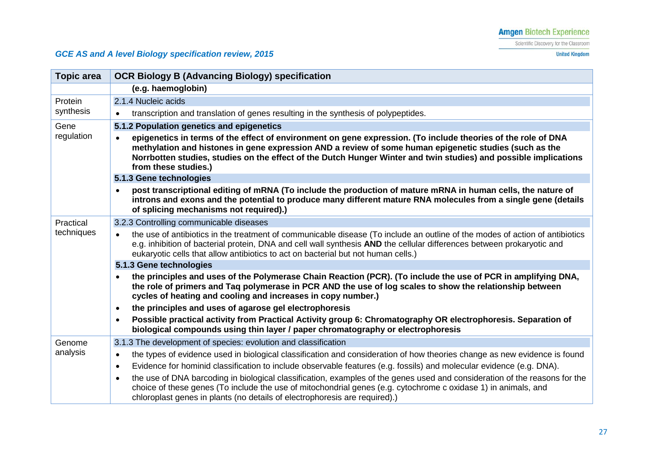Scientific Discovery for the Classroom

**United Kingdom** 

| <b>Topic area</b>    | <b>OCR Biology B (Advancing Biology) specification</b>                                                                                                                                                                                                                                                                                                                           |
|----------------------|----------------------------------------------------------------------------------------------------------------------------------------------------------------------------------------------------------------------------------------------------------------------------------------------------------------------------------------------------------------------------------|
|                      | (e.g. haemoglobin)                                                                                                                                                                                                                                                                                                                                                               |
| Protein<br>synthesis | 2.1.4 Nucleic acids                                                                                                                                                                                                                                                                                                                                                              |
|                      | transcription and translation of genes resulting in the synthesis of polypeptides.<br>$\bullet$                                                                                                                                                                                                                                                                                  |
| Gene                 | 5.1.2 Population genetics and epigenetics                                                                                                                                                                                                                                                                                                                                        |
| regulation           | epigenetics in terms of the effect of environment on gene expression. (To include theories of the role of DNA<br>$\bullet$<br>methylation and histones in gene expression AND a review of some human epigenetic studies (such as the<br>Norrbotten studies, studies on the effect of the Dutch Hunger Winter and twin studies) and possible implications<br>from these studies.) |
|                      | 5.1.3 Gene technologies                                                                                                                                                                                                                                                                                                                                                          |
|                      | post transcriptional editing of mRNA (To include the production of mature mRNA in human cells, the nature of<br>introns and exons and the potential to produce many different mature RNA molecules from a single gene (details<br>of splicing mechanisms not required).)                                                                                                         |
| Practical            | 3.2.3 Controlling communicable diseases                                                                                                                                                                                                                                                                                                                                          |
| techniques           | the use of antibiotics in the treatment of communicable disease (To include an outline of the modes of action of antibiotics<br>$\bullet$<br>e.g. inhibition of bacterial protein, DNA and cell wall synthesis AND the cellular differences between prokaryotic and<br>eukaryotic cells that allow antibiotics to act on bacterial but not human cells.)                         |
|                      | 5.1.3 Gene technologies                                                                                                                                                                                                                                                                                                                                                          |
|                      | the principles and uses of the Polymerase Chain Reaction (PCR). (To include the use of PCR in amplifying DNA,<br>$\bullet$<br>the role of primers and Taq polymerase in PCR AND the use of log scales to show the relationship between<br>cycles of heating and cooling and increases in copy number.)                                                                           |
|                      | the principles and uses of agarose gel electrophoresis<br>$\bullet$                                                                                                                                                                                                                                                                                                              |
|                      | Possible practical activity from Practical Activity group 6: Chromatography OR electrophoresis. Separation of<br>$\bullet$<br>biological compounds using thin layer / paper chromatography or electrophoresis                                                                                                                                                                    |
| Genome<br>analysis   | 3.1.3 The development of species: evolution and classification                                                                                                                                                                                                                                                                                                                   |
|                      | the types of evidence used in biological classification and consideration of how theories change as new evidence is found<br>$\bullet$                                                                                                                                                                                                                                           |
|                      | Evidence for hominid classification to include observable features (e.g. fossils) and molecular evidence (e.g. DNA).<br>$\bullet$                                                                                                                                                                                                                                                |
|                      | the use of DNA barcoding in biological classification, examples of the genes used and consideration of the reasons for the<br>$\bullet$<br>choice of these genes (To include the use of mitochondrial genes (e.g. cytochrome c oxidase 1) in animals, and<br>chloroplast genes in plants (no details of electrophoresis are required).)                                          |